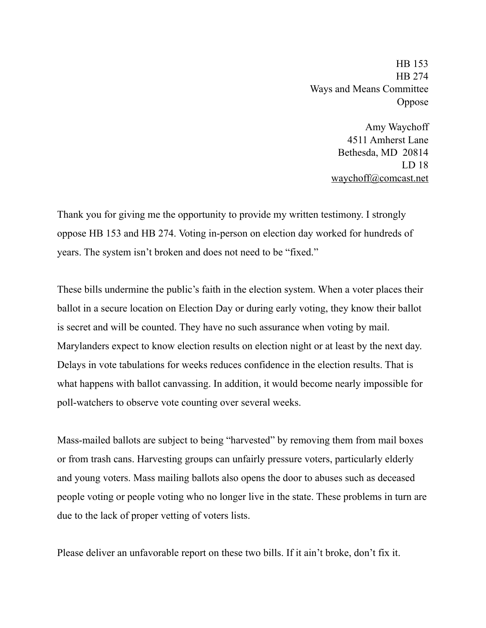HB 153 HB 274 Ways and Means Committee Oppose

> Amy Waychoff 4511 Amherst Lane Bethesda, MD 20814 LD 18 [waychoff@comcast.net](mailto:waychoff@comcast.net)

Thank you for giving me the opportunity to provide my written testimony. I strongly oppose HB 153 and HB 274. Voting in-person on election day worked for hundreds of years. The system isn't broken and does not need to be "fixed."

These bills undermine the public's faith in the election system. When a voter places their ballot in a secure location on Election Day or during early voting, they know their ballot is secret and will be counted. They have no such assurance when voting by mail. Marylanders expect to know election results on election night or at least by the next day. Delays in vote tabulations for weeks reduces confidence in the election results. That is what happens with ballot canvassing. In addition, it would become nearly impossible for poll-watchers to observe vote counting over several weeks.

Mass-mailed ballots are subject to being "harvested" by removing them from mail boxes or from trash cans. Harvesting groups can unfairly pressure voters, particularly elderly and young voters. Mass mailing ballots also opens the door to abuses such as deceased people voting or people voting who no longer live in the state. These problems in turn are due to the lack of proper vetting of voters lists.

Please deliver an unfavorable report on these two bills. If it ain't broke, don't fix it.